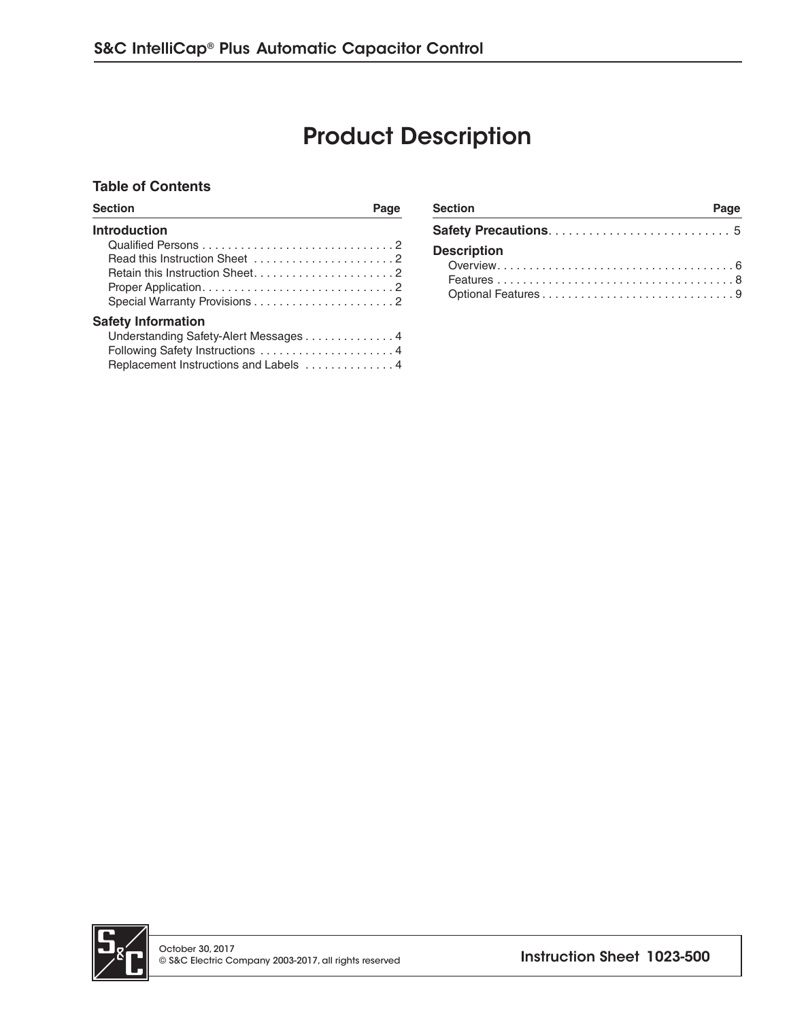## Product Description

#### **Table of Contents**

| <b>Section</b>                                                                                              | <b>Section</b><br>Page | Page |
|-------------------------------------------------------------------------------------------------------------|------------------------|------|
| <b>Introduction</b>                                                                                         |                        |      |
|                                                                                                             | <b>Description</b>     |      |
| <b>Safety Information</b><br>Understanding Safety-Alert Messages 4<br>Replacement Instructions and Labels 4 |                        |      |

| <b>Section</b>     | Page |
|--------------------|------|
|                    |      |
| <b>Description</b> |      |
|                    |      |
|                    |      |

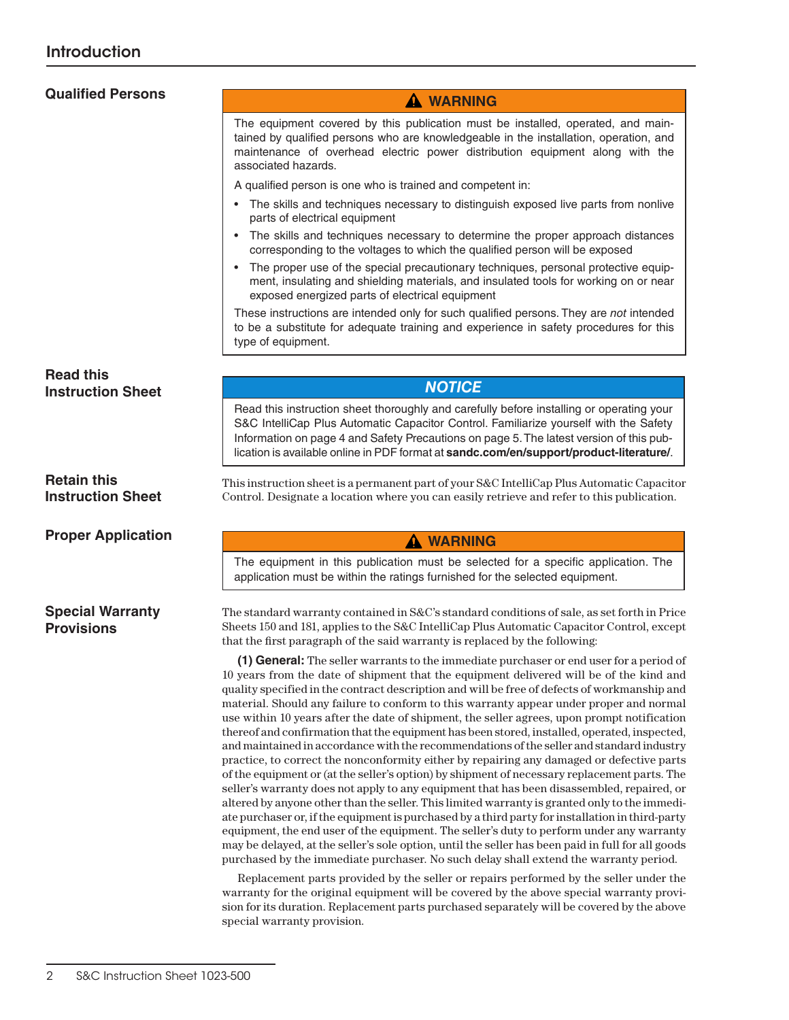# **Qualified Persons**

A qualified person is one who is trained and competent in:

associated hazards.

• The skills and techniques necessary to distinguish exposed live parts from nonlive parts of electrical equipment

 **WARNING** The equipment covered by this publication must be installed, operated, and maintained by qualified persons who are knowledgeable in the installation, operation, and maintenance of overhead electric power distribution equipment along with the

- The skills and techniques necessary to determine the proper approach distances corresponding to the voltages to which the qualified person will be exposed
- The proper use of the special precautionary techniques, personal protective equipment, insulating and shielding materials, and insulated tools for working on or near exposed energized parts of electrical equipment

These instructions are intended only for such qualified persons. They are *not* intended to be a substitute for adequate training and experience in safety procedures for this type of equipment.

**Read this Instruction Sheet**

**Retain this Instruction Sheet**

**Proper Application**

#### **Special Warranty Provisions**

#### *NOTICE*

Read this instruction sheet thoroughly and carefully before installing or operating your S&C IntelliCap Plus Automatic Capacitor Control. Familiarize yourself with the Safety Information on page 4 and Safety Precautions on page 5. The latest version of this publication is available online in PDF format at **sandc.com/en/support/product-literature/**.

This instruction sheet is a permanent part of your S&C IntelliCap Plus Automatic Capacitor Control. Designate a location where you can easily retrieve and refer to this publication.

#### **WARNING**

The equipment in this publication must be selected for a specific application. The application must be within the ratings furnished for the selected equipment.

The standard warranty contained in S&C's standard conditions of sale, as set forth in Price Sheets 150 and 181, applies to the S&C IntelliCap Plus Automatic Capacitor Control, except that the first paragraph of the said warranty is replaced by the following:

**(1) General:** The seller warrants to the immediate purchaser or end user for a period of 10 years from the date of shipment that the equipment delivered will be of the kind and quality specified in the contract description and will be free of defects of workmanship and material. Should any failure to conform to this warranty appear under proper and normal use within 10 years after the date of shipment, the seller agrees, upon prompt notification thereof and confirmation that the equipment has been stored, installed, operated, inspected, and maintained in accordance with the recommendations of the seller and standard industry practice, to correct the nonconformity either by repairing any damaged or defective parts of the equipment or (at the seller's option) by shipment of necessary replacement parts. The seller's warranty does not apply to any equipment that has been disassembled, repaired, or altered by anyone other than the seller. This limited warranty is granted only to the immediate purchaser or, if the equipment is purchased by a third party for installation in third-party equipment, the end user of the equipment. The seller's duty to perform under any warranty may be delayed, at the seller's sole option, until the seller has been paid in full for all goods purchased by the immediate purchaser. No such delay shall extend the warranty period.

Replacement parts provided by the seller or repairs performed by the seller under the warranty for the original equipment will be covered by the above special warranty provision for its duration. Replacement parts purchased separately will be covered by the above special warranty provision.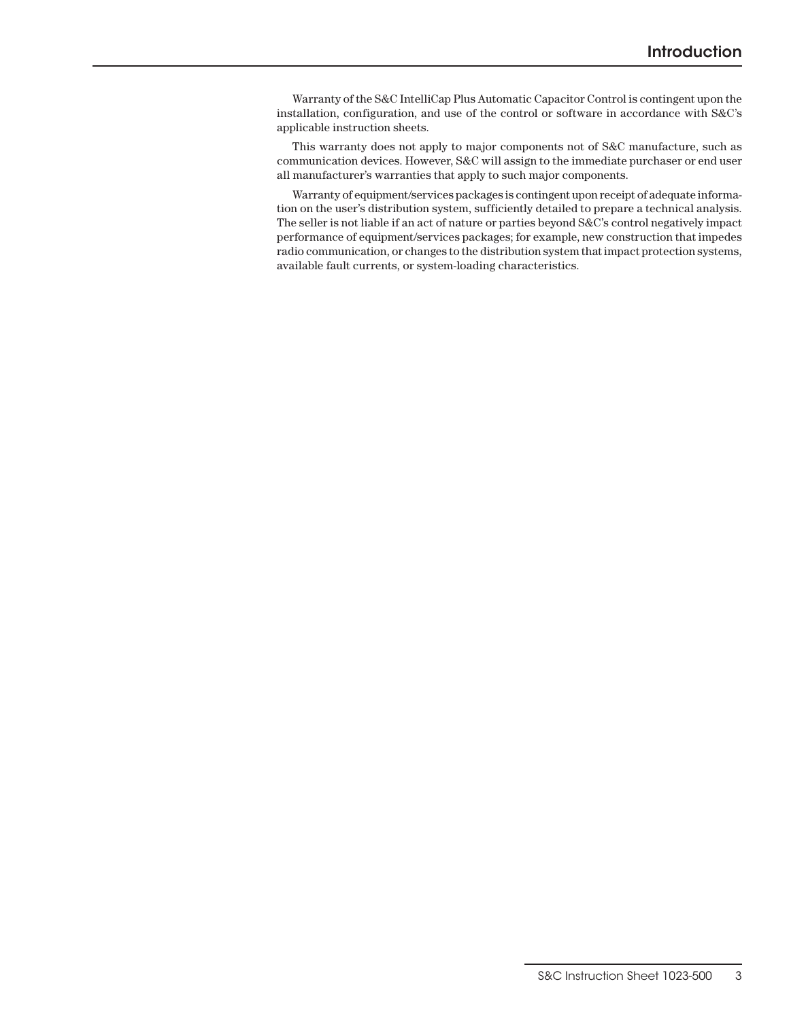Warranty of the S&C IntelliCap Plus Automatic Capacitor Control is contingent upon the installation, configuration, and use of the control or software in accordance with S&C's applicable instruction sheets.

This warranty does not apply to major components not of S&C manufacture, such as communication devices. However, S&C will assign to the immediate purchaser or end user all manufacturer's warranties that apply to such major components.

Warranty of equipment/services packages is contingent upon receipt of adequate information on the user's distribution system, sufficiently detailed to prepare a technical analysis. The seller is not liable if an act of nature or parties beyond S&C's control negatively impact performance of equipment/services packages; for example, new construction that impedes radio communication, or changes to the distribution system that impact protection systems, available fault currents, or system-loading characteristics.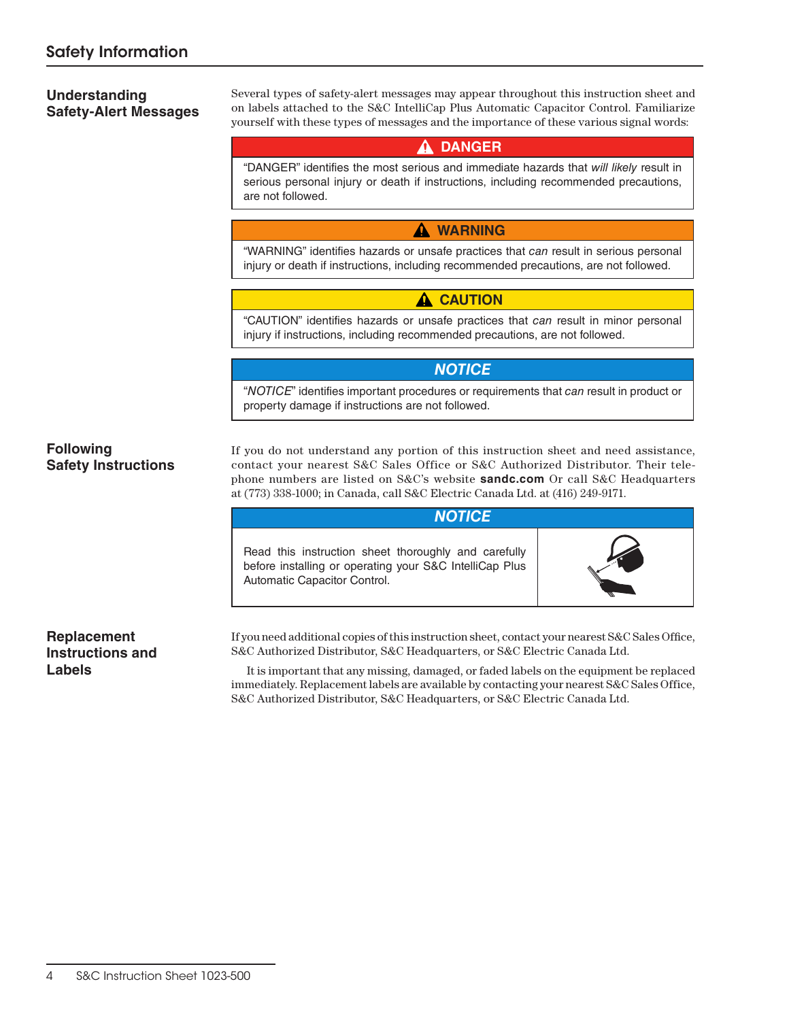#### **Understanding Safety-Alert Messages**

Several types of safety-alert messages may appear throughout this instruction sheet and on labels attached to the S&C IntelliCap Plus Automatic Capacitor Control. Familiarize yourself with these types of messages and the importance of these various signal words:

### **DANGER**

"DANGER" identifies the most serious and immediate hazards that *will likely* result in serious personal injury or death if instructions, including recommended precautions, are not followed.

#### **WARNING**

"WARNING" identifies hazards or unsafe practices that *can* result in serious personal injury or death if instructions, including recommended precautions, are not followed.

#### **A** CAUTION

"CAUTION" identifies hazards or unsafe practices that *can* result in minor personal injury if instructions, including recommended precautions, are not followed.

#### *NOTICE*

"*NOTICE*" identifies important procedures or requirements that *can* result in product or property damage if instructions are not followed.

#### **Following Safety Instructions**

If you do not understand any portion of this instruction sheet and need assistance, contact your nearest S&C Sales Office or S&C Authorized Distributor. Their telephone numbers are listed on S&C's website **sandc.com** Or call S&C Headquarters at (773) 338-1000; in Canada, call S&C Electric Canada Ltd. at (416) 249-9171.

#### *NOTICE*

Read this instruction sheet thoroughly and carefully before installing or operating your S&C IntelliCap Plus Automatic Capacitor Control.



#### **Replacement Instructions and Labels**

If you need additional copies of this instruction sheet, contact your nearest S&C Sales Office, S&C Authorized Distributor, S&C Headquarters, or S&C Electric Canada Ltd.

It is important that any missing, damaged, or faded labels on the equipment be replaced immediately. Replacement labels are available by contacting your nearest S&C Sales Office, S&C Authorized Distributor, S&C Headquarters, or S&C Electric Canada Ltd.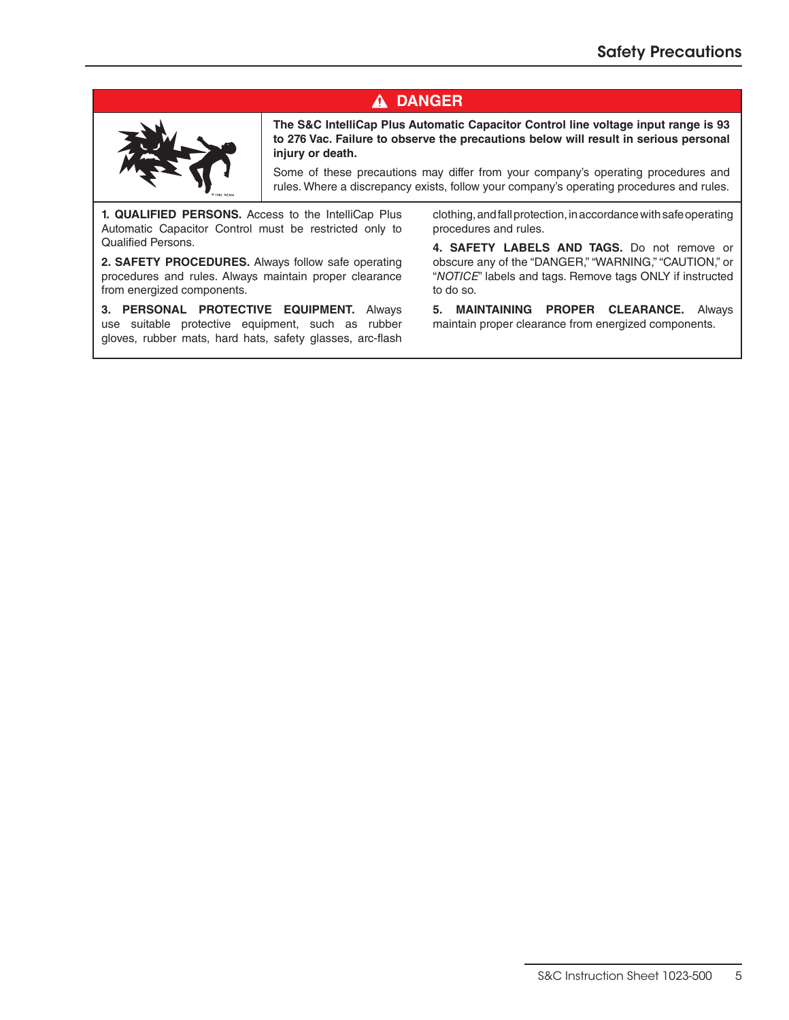## **DANGER**



**The S&C IntelliCap Plus Automatic Capacitor Control line voltage input range is 93 to 276 Vac. Failure to observe the precautions below will result in serious personal injury or death.**

Some of these precautions may differ from your company's operating procedures and rules. Where a discrepancy exists, follow your company's operating procedures and rules.

**1. QUALIFIED PERSONS.** Access to the IntelliCap Plus Automatic Capacitor Control must be restricted only to Qualified Persons.

**2. SAFETY PROCEDURES.** Always follow safe operating procedures and rules. Always maintain proper clearance from energized components.

**3. PERSONAL PROTECTIVE EQUIPMENT.** Always use suitable protective equipment, such as rubber gloves, rubber mats, hard hats, safety glasses, arc-flash clothing, and fall protection, in accordance with safe operating procedures and rules.

**4. SAFETY LABELS AND TAGS.** Do not remove or obscure any of the "DANGER," "WARNING," "CAUTION," or "*NOTICE*" labels and tags. Remove tags ONLY if instructed to do so.

**5. MAINTAINING PROPER CLEARANCE.** Always maintain proper clearance from energized components.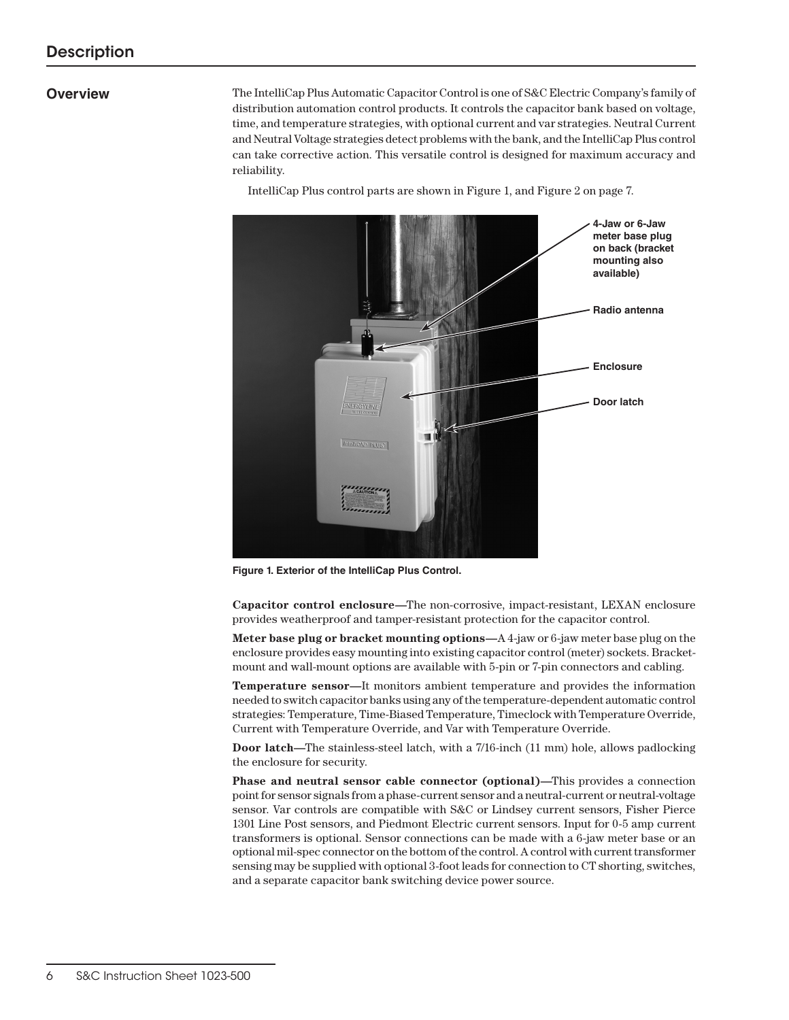#### **Overview**

The IntelliCap Plus Automatic Capacitor Control is one of S&C Electric Company's family of distribution automation control products. It controls the capacitor bank based on voltage, time, and temperature strategies, with optional current and var strategies. Neutral Current and Neutral Voltage strategies detect problems with the bank, and the IntelliCap Plus control can take corrective action. This versatile control is designed for maximum accuracy and reliability.

IntelliCap Plus control parts are shown in Figure 1, and Figure 2 on page 7.



**Figure 1. Exterior of the IntelliCap Plus Control.**

**Capacitor control enclosure—**The non-corrosive, impact-resistant, LEXAN enclosure provides weatherproof and tamper-resistant protection for the capacitor control.

**Meter base plug or bracket mounting options—**A 4-jaw or 6-jaw meter base plug on the enclosure provides easy mounting into existing capacitor control (meter) sockets. Bracketmount and wall-mount options are available with 5-pin or 7-pin connectors and cabling.

**Temperature sensor—**It monitors ambient temperature and provides the information needed to switch capacitor banks using any of the temperature-dependent automatic control strategies: Temperature, Time-Biased Temperature, Timeclock with Temperature Override, Current with Temperature Override, and Var with Temperature Override.

**Door latch—**The stainless-steel latch, with a 7/16-inch (11 mm) hole, allows padlocking the enclosure for security.

**Phase and neutral sensor cable connector (optional)—**This provides a connection point for sensor signals from a phase-current sensor and a neutral-current or neutral-voltage sensor. Var controls are compatible with S&C or Lindsey current sensors, Fisher Pierce 1301 Line Post sensors, and Piedmont Electric current sensors. Input for 0-5 amp current transformers is optional. Sensor connections can be made with a 6-jaw meter base or an optional mil-spec connector on the bottom of the control. A control with current transformer sensing may be supplied with optional 3-foot leads for connection to CT shorting, switches, and a separate capacitor bank switching device power source.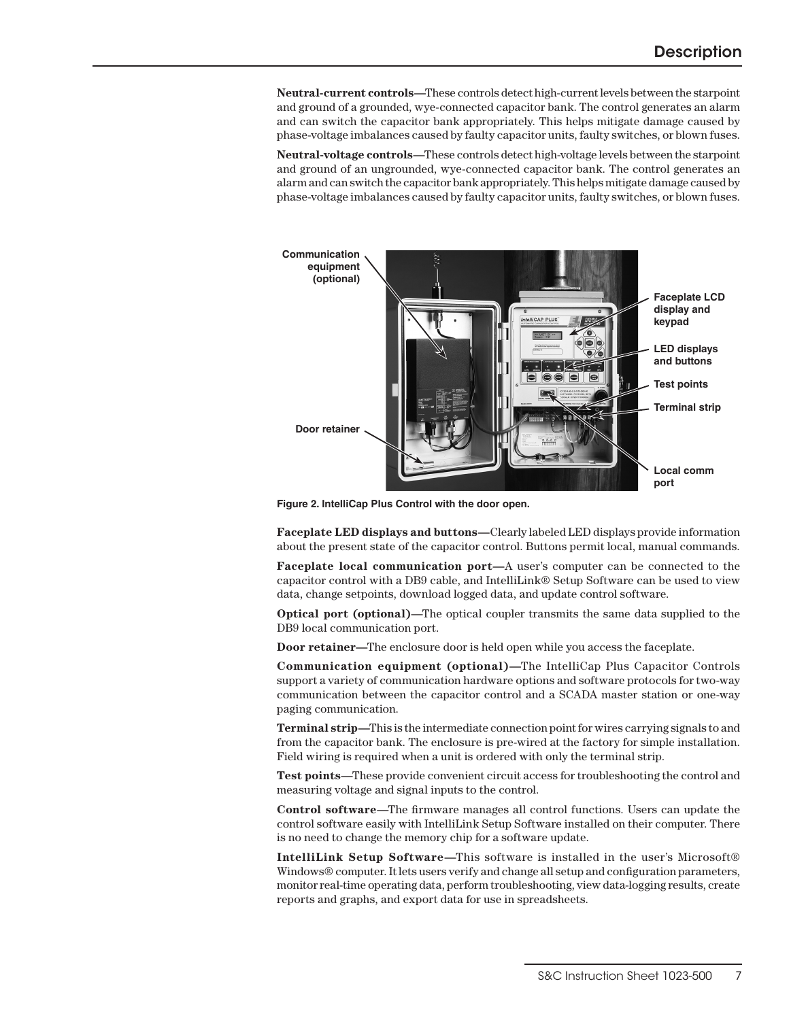**Neutral-current controls—**These controls detect high-current levels between the starpoint and ground of a grounded, wye-connected capacitor bank. The control generates an alarm and can switch the capacitor bank appropriately. This helps mitigate damage caused by phase-voltage imbalances caused by faulty capacitor units, faulty switches, or blown fuses.

**Neutral-voltage controls—**These controls detect high-voltage levels between the starpoint and ground of an ungrounded, wye-connected capacitor bank. The control generates an alarm and can switch the capacitor bank appropriately. This helps mitigate damage caused by phase-voltage imbalances caused by faulty capacitor units, faulty switches, or blown fuses.



**Figure 2. IntelliCap Plus Control with the door open.**

**Faceplate LED displays and buttons—**Clearly labeled LED displays provide information about the present state of the capacitor control. Buttons permit local, manual commands.

**Faceplate local communication port—**A user's computer can be connected to the capacitor control with a DB9 cable, and IntelliLink® Setup Software can be used to view data, change setpoints, download logged data, and update control software.

**Optical port (optional)—**The optical coupler transmits the same data supplied to the DB9 local communication port.

**Door retainer—**The enclosure door is held open while you access the faceplate.

**Communication equipment (optional)—**The IntelliCap Plus Capacitor Controls support a variety of communication hardware options and software protocols for two-way communication between the capacitor control and a SCADA master station or one-way paging communication.

**Terminal strip—**This is the intermediate connection point for wires carrying signals to and from the capacitor bank. The enclosure is pre-wired at the factory for simple installation. Field wiring is required when a unit is ordered with only the terminal strip.

**Test points—**These provide convenient circuit access for troubleshooting the control and measuring voltage and signal inputs to the control.

**Control software—**The firmware manages all control functions. Users can update the control software easily with IntelliLink Setup Software installed on their computer. There is no need to change the memory chip for a software update.

**IntelliLink Setup Software—**This software is installed in the user's Microsoft® Windows® computer. It lets users verify and change all setup and configuration parameters, monitor real-time operating data, perform troubleshooting, view data-logging results, create reports and graphs, and export data for use in spreadsheets.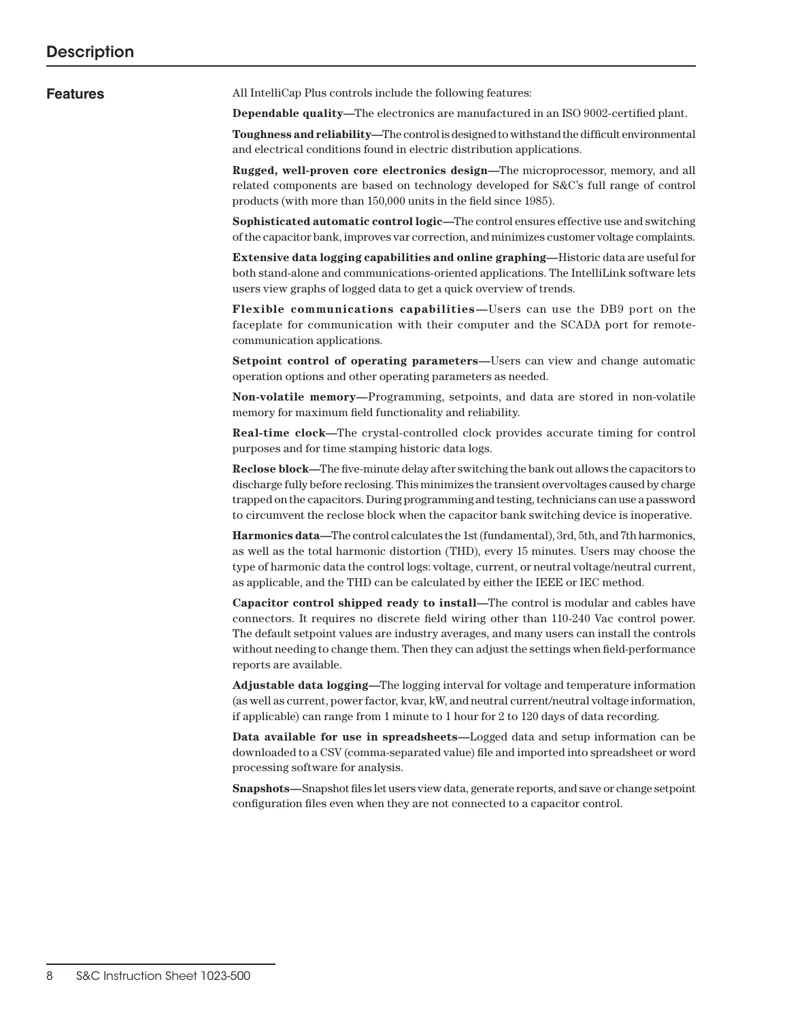**Features** All IntelliCap Plus controls include the following features:

**Dependable quality—**The electronics are manufactured in an ISO 9002-certified plant.

**Toughness and reliability—**The control is designed to withstand the difficult environmental and electrical conditions found in electric distribution applications.

**Rugged, well-proven core electronics design—**The microprocessor, memory, and all related components are based on technology developed for S&C's full range of control products (with more than 150,000 units in the field since 1985).

**Sophisticated automatic control logic—**The control ensures effective use and switching of the capacitor bank, improves var correction, and minimizes customer voltage complaints.

**Extensive data logging capabilities and online graphing—**Historic data are useful for both stand-alone and communications-oriented applications. The IntelliLink software lets users view graphs of logged data to get a quick overview of trends.

**Flexible communications capabilities—**Users can use the DB9 port on the faceplate for communication with their computer and the SCADA port for remotecommunication applications.

**Setpoint control of operating parameters—**Users can view and change automatic operation options and other operating parameters as needed.

**Non-volatile memory—**Programming, setpoints, and data are stored in non-volatile memory for maximum field functionality and reliability.

**Real-time clock—**The crystal-controlled clock provides accurate timing for control purposes and for time stamping historic data logs.

**Reclose block—**The five-minute delay after switching the bank out allows the capacitors to discharge fully before reclosing. This minimizes the transient overvoltages caused by charge trapped on the capacitors. During programming and testing, technicians can use a password to circumvent the reclose block when the capacitor bank switching device is inoperative.

**Harmonics data—**The control calculates the 1st (fundamental), 3rd, 5th, and 7th harmonics, as well as the total harmonic distortion (THD), every 15 minutes. Users may choose the type of harmonic data the control logs: voltage, current, or neutral voltage/neutral current, as applicable, and the THD can be calculated by either the IEEE or IEC method.

**Capacitor control shipped ready to install—**The control is modular and cables have connectors. It requires no discrete field wiring other than 110-240 Vac control power. The default setpoint values are industry averages, and many users can install the controls without needing to change them. Then they can adjust the settings when field-performance reports are available.

**Adjustable data logging—**The logging interval for voltage and temperature information (as well as current, power factor, kvar, kW, and neutral current/neutral voltage information, if applicable) can range from 1 minute to 1 hour for 2 to 120 days of data recording.

**Data available for use in spreadsheets—**Logged data and setup information can be downloaded to a CSV (comma-separated value) file and imported into spreadsheet or word processing software for analysis.

**Snapshots—**Snapshot files let users view data, generate reports, and save or change setpoint configuration files even when they are not connected to a capacitor control.